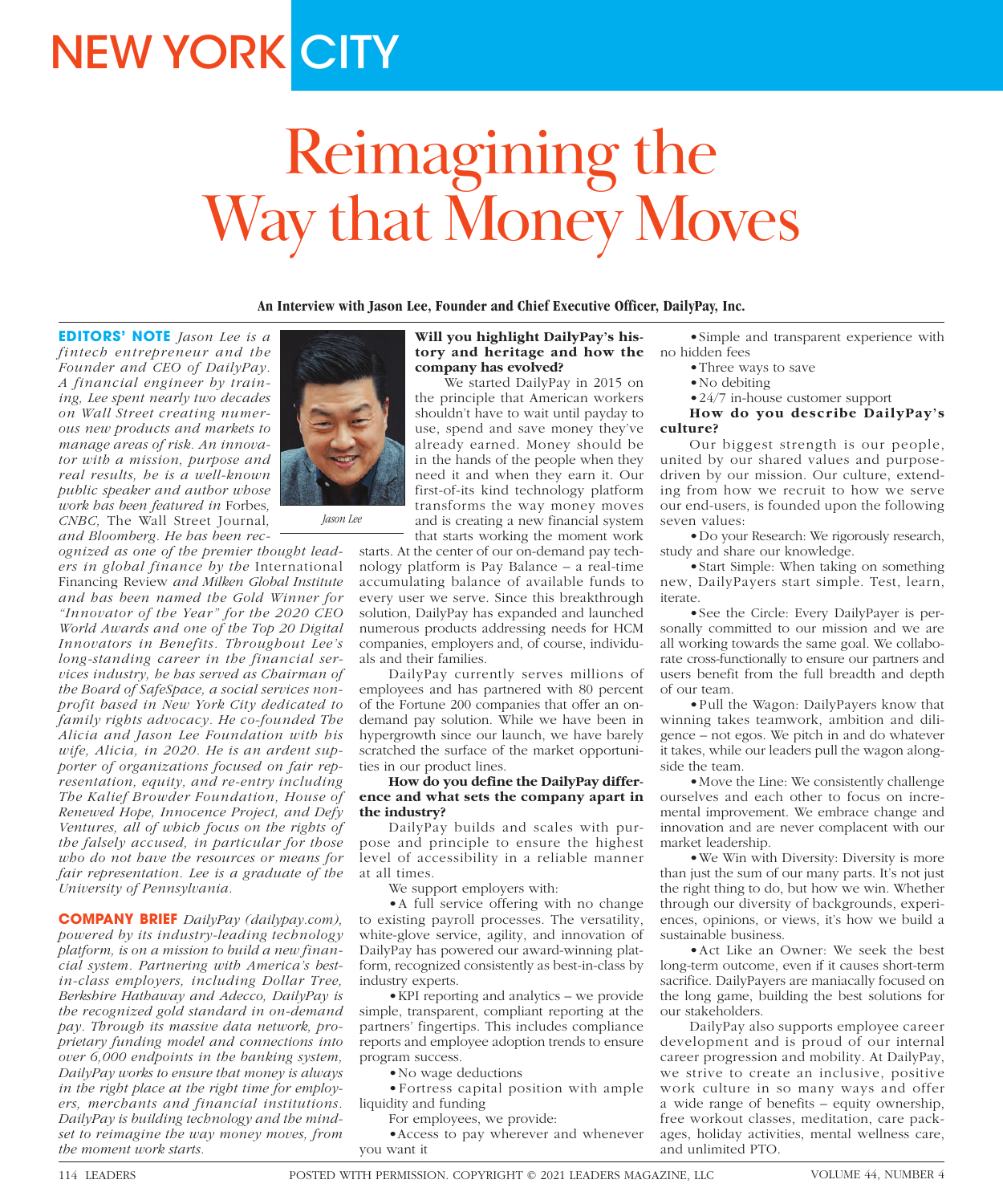# **NEW YORK CITY**

# Reimagining the Way that Money Moves

**An Interview with Jason Lee, Founder and Chief Executive Officer, DailyPay, Inc.**

**EDITORS' NOTE** *Jason Lee is a fintech entrepreneur and the Founder and CEO of DailyPay. A financial engineer by training, Lee spent nearly two decades on Wall Street creating numerous new products and markets to manage areas of risk. An innovator with a mission, purpose and real results, he is a well-known public speaker and author whose work has been featured in* Forbes*, CNBC,* The Wall Street Journal*, and Bloomberg. He has been rec-*

*ognized as one of the premier thought leaders in global finance by the* International Financing Review *and Milken Global Institute and has been named the Gold Winner for "Innovator of the Year" for the 2020 CEO World Awards and one of the Top 20 Digital Innovators in Benefits. Throughout Lee's long-standing career in the financial services industry, he has served as Chairman of the Board of SafeSpace, a social services nonprofit based in New York City dedicated to family rights advocacy. He co-founded The Alicia and Jason Lee Foundation with his wife, Alicia, in 2020. He is an ardent supporter of organizations focused on fair representation, equity, and re-entry including The Kalief Browder Foundation, House of Renewed Hope, Innocence Project, and Defy Ventures, all of which focus on the rights of the falsely accused, in particular for those who do not have the resources or means for fair representation. Lee is a graduate of the University of Pennsylvania.*

**COMPANY BRIEF** *DailyPay (dailypay.com), powered by its industry-leading technology platform, is on a mission to build a new financial system. Partnering with America's bestin-class employers, including Dollar Tree, Berkshire Hathaway and Adecco, DailyPay is the recognized gold standard in on-demand pay. Through its massive data network, proprietary funding model and connections into over 6,000 endpoints in the banking system, DailyPay works to ensure that money is always in the right place at the right time for employers, merchants and financial institutions. DailyPay is building technology and the mindset to reimagine the way money moves, from the moment work starts.*



We started DailyPay in 2015 on the principle that American workers shouldn't have to wait until payday to use, spend and save money they've already earned. Money should be in the hands of the people when they need it and when they earn it. Our first-of-its kind technology platform transforms the way money moves and is creating a new financial system that starts working the moment work

starts. At the center of our on-demand pay technology platform is Pay Balance – a real-time accumulating balance of available funds to every user we serve. Since this breakthrough solution, DailyPay has expanded and launched numerous products addressing needs for HCM companies, employers and, of course, individuals and their families.

*Jason Lee*

DailyPay currently serves millions of employees and has partnered with 80 percent of the Fortune 200 companies that offer an ondemand pay solution. While we have been in hypergrowth since our launch, we have barely scratched the surface of the market opportunities in our product lines.

## **How do you define the DailyPay difference and what sets the company apart in the industry?**

DailyPay builds and scales with purpose and principle to ensure the highest level of accessibility in a reliable manner at all times.

We support employers with:

•A full service offering with no change to existing payroll processes. The versatility, white-glove service, agility, and innovation of DailyPay has powered our award-winning platform, recognized consistently as best-in-class by industry experts.

•KPI reporting and analytics – we provide simple, transparent, compliant reporting at the partners' fingertips. This includes compliance reports and employee adoption trends to ensure program success.

•No wage deductions

•Fortress capital position with ample liquidity and funding

For employees, we provide:

•Access to pay wherever and whenever you want it

•Simple and transparent experience with no hidden fees

- •Three ways to save
- •No debiting
- •24/7 in-house customer support

**How do you describe DailyPay's culture?**

Our biggest strength is our people, united by our shared values and purposedriven by our mission. Our culture, extending from how we recruit to how we serve our end-users, is founded upon the following seven values:

•Do your Research: We rigorously research, study and share our knowledge.

•Start Simple: When taking on something new, DailyPayers start simple. Test, learn, iterate.

•See the Circle: Every DailyPayer is personally committed to our mission and we are all working towards the same goal. We collaborate cross-functionally to ensure our partners and users benefit from the full breadth and depth of our team.

•Pull the Wagon: DailyPayers know that winning takes teamwork, ambition and diligence – not egos. We pitch in and do whatever it takes, while our leaders pull the wagon alongside the team.

•Move the Line: We consistently challenge ourselves and each other to focus on incremental improvement. We embrace change and innovation and are never complacent with our market leadership.

•We Win with Diversity: Diversity is more than just the sum of our many parts. It's not just the right thing to do, but how we win. Whether through our diversity of backgrounds, experiences, opinions, or views, it's how we build a sustainable business.

•Act Like an Owner: We seek the best long-term outcome, even if it causes short-term sacrifice. DailyPayers are maniacally focused on the long game, building the best solutions for our stakeholders.

DailyPay also supports employee career development and is proud of our internal career progression and mobility. At DailyPay, we strive to create an inclusive, positive work culture in so many ways and offer a wide range of benefits – equity ownership, free workout classes, meditation, care packages, holiday activities, mental wellness care, and unlimited PTO.